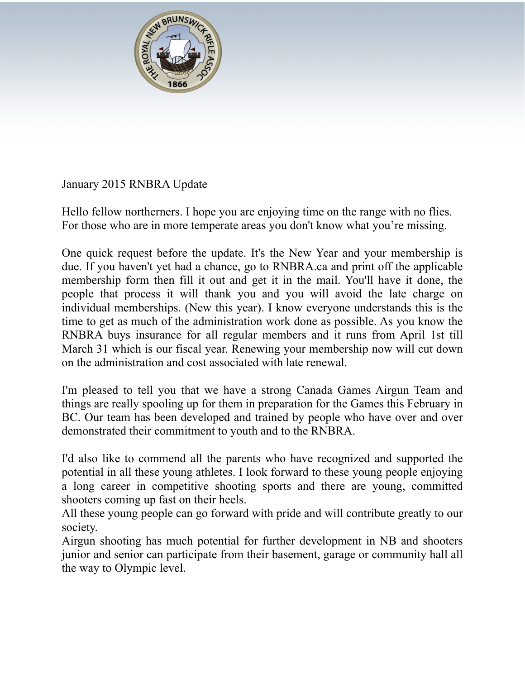

## January 2015 RNBRA Update

Hello fellow northerners. I hope you are enjoying time on the range with no flies. For those who are in more temperate areas you don't know what you're missing.

One quick request before the update. It's the New Year and your membership is due. If you haven't yet had a chance, go to RNBRA.ca and print off the applicable membership form then fill it out and get it in the mail. You'll have it done, the people that process it will thank you and you will avoid the late charge on individual memberships. (New this year). I know everyone understands this is the time to get as much of the administration work done as possible. As you know the RNBRA buys insurance for all regular members and it runs from April 1st till March 31 which is our fiscal year. Renewing your membership now will cut down on the administration and cost associated with late renewal.

I'm pleased to tell you that we have a strong Canada Games Airgun Team and things are really spooling up for them in preparation for the Games this February in BC. Our team has been developed and trained by people who have over and over demonstrated their commitment to youth and to the RNBRA.

I'd also like to commend all the parents who have recognized and supported the potential in all these young athletes. I look forward to these young people enjoying a long career in competitive shooting sports and there are young, committed shooters coming up fast on their heels.

All these young people can go forward with pride and will contribute greatly to our society.

Airgun shooting has much potential for further development in NB and shooters junior and senior can participate from their basement, garage or community hall all the way to Olympic level.